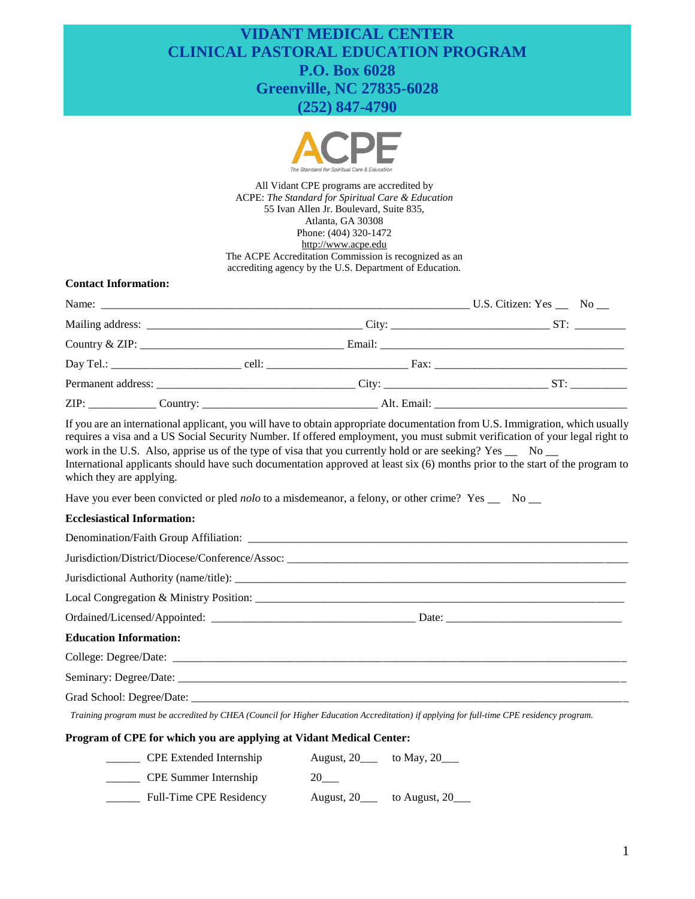# **VIDANT MEDICAL CENTER CLINICAL PASTORAL EDUCATION PROGRAM P.O. Box 6028 Greenville, NC 27835-6028 (252) 847-4790**



All Vidant CPE programs are accredited by ACPE: *The Standard for Spiritual Care & Education* 55 Ivan Allen Jr. Boulevard, Suite 835, Atlanta, GA 30308 Phone: (404) 320-1472 [http://www.acpe.edu](http://www.acpe.edu/) The ACPE Accreditation Commission is recognized as an accrediting agency by the U.S. Department of Education.

### **Contact Information:**

If you are an international applicant, you will have to obtain appropriate documentation from U.S. Immigration, which usually requires a visa and a US Social Security Number. If offered employment, you must submit verification of your legal right to work in the U.S. Also, apprise us of the type of visa that you currently hold or are seeking? Yes \_\_ No \_\_ International applicants should have such documentation approved at least six (6) months prior to the start of the program to which they are applying.

Have you ever been convicted or pled *nolo* to a misdemeanor, a felony, or other crime? Yes \_\_ No \_\_

#### **Ecclesiastical Information:**

| <b>Education Information:</b> |  |  |  |  |  |
|-------------------------------|--|--|--|--|--|
|                               |  |  |  |  |  |
|                               |  |  |  |  |  |
|                               |  |  |  |  |  |

*Training program must be accredited by CHEA (Council for Higher Education Accreditation) if applying for full-time CPE residency program.*

## **Program of CPE for which you are applying at Vidant Medical Center:**

| <b>CPE</b> Extended Internship | August, 20<br>to May, 20___ |
|--------------------------------|-----------------------------|
| <b>CPE</b> Summer Internship   | 20                          |
| Full-Time CPE Residency        | to August, 20<br>August, 20 |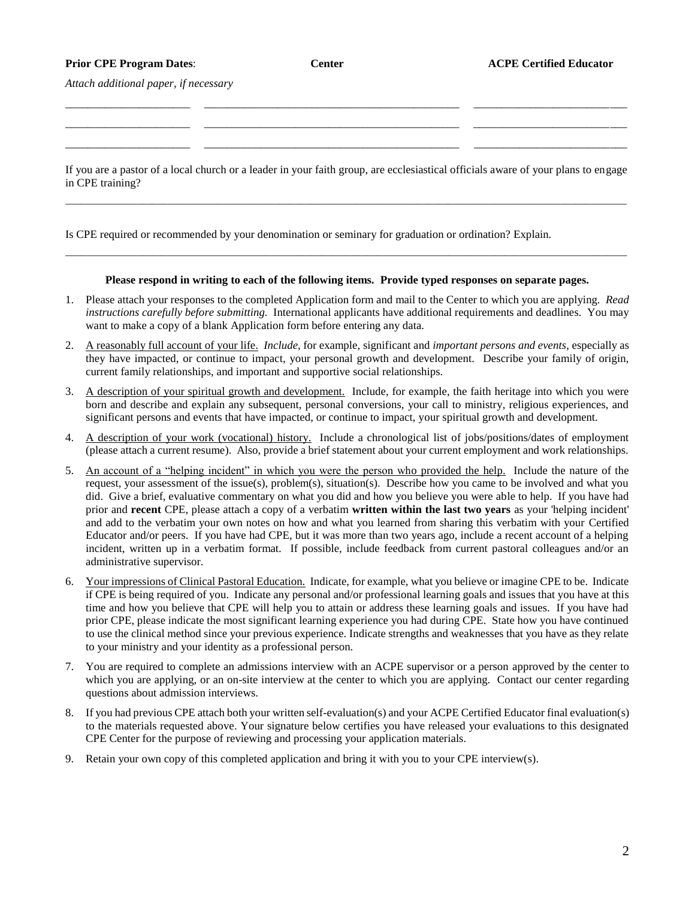## **Prior CPE Program Dates**: **Center ACPE Certified Educator**

*Attach additional paper, if necessary*

If you are a pastor of a local church or a leader in your faith group, are ecclesiastical officials aware of your plans to engage in CPE training?

\_\_\_\_\_\_\_\_\_\_\_\_\_\_\_\_\_\_\_\_\_\_\_\_\_\_\_\_\_\_\_\_\_\_\_\_\_\_\_\_\_\_\_\_\_\_\_\_\_\_\_\_\_\_\_\_\_\_\_\_\_\_\_\_\_\_\_\_\_\_\_\_\_\_\_\_\_\_\_\_\_\_\_\_\_\_\_\_\_\_\_\_\_\_\_\_\_\_\_\_\_\_\_\_\_\_\_\_\_\_

\_\_\_\_\_\_\_\_\_\_\_\_\_\_\_\_\_\_\_\_\_\_ \_\_\_\_\_\_\_\_\_\_\_\_\_\_\_\_\_\_\_\_\_\_\_\_\_\_\_\_\_\_\_\_\_\_\_\_\_\_\_\_\_\_\_\_\_ \_\_\_\_\_\_\_\_\_\_\_\_\_\_\_\_\_\_\_\_\_\_\_\_\_\_\_ \_\_\_\_\_\_\_\_\_\_\_\_\_\_\_\_\_\_\_\_\_\_ \_\_\_\_\_\_\_\_\_\_\_\_\_\_\_\_\_\_\_\_\_\_\_\_\_\_\_\_\_\_\_\_\_\_\_\_\_\_\_\_\_\_\_\_\_ \_\_\_\_\_\_\_\_\_\_\_\_\_\_\_\_\_\_\_\_\_\_\_\_\_\_\_ \_\_\_\_\_\_\_\_\_\_\_\_\_\_\_\_\_\_\_\_\_\_ \_\_\_\_\_\_\_\_\_\_\_\_\_\_\_\_\_\_\_\_\_\_\_\_\_\_\_\_\_\_\_\_\_\_\_\_\_\_\_\_\_\_\_\_\_ \_\_\_\_\_\_\_\_\_\_\_\_\_\_\_\_\_\_\_\_\_\_\_\_\_\_\_

Is CPE required or recommended by your denomination or seminary for graduation or ordination? Explain.

## **Please respond in writing to each of the following items. Provide typed responses on separate pages.**

\_\_\_\_\_\_\_\_\_\_\_\_\_\_\_\_\_\_\_\_\_\_\_\_\_\_\_\_\_\_\_\_\_\_\_\_\_\_\_\_\_\_\_\_\_\_\_\_\_\_\_\_\_\_\_\_\_\_\_\_\_\_\_\_\_\_\_\_\_\_\_\_\_\_\_\_\_\_\_\_\_\_\_\_\_\_\_\_\_\_\_\_\_\_\_\_\_\_\_\_\_\_\_\_\_\_\_\_\_\_

- 1. Please attach your responses to the completed Application form and mail to the Center to which you are applying. *Read instructions carefully before submitting.* International applicants have additional requirements and deadlines. You may want to make a copy of a blank Application form before entering any data.
- 2. A reasonably full account of your life. *Include*, for example, significant and *important persons and events*, especially as they have impacted, or continue to impact, your personal growth and development. Describe your family of origin, current family relationships, and important and supportive social relationships.
- 3. A description of your spiritual growth and development. Include, for example, the faith heritage into which you were born and describe and explain any subsequent, personal conversions, your call to ministry, religious experiences, and significant persons and events that have impacted, or continue to impact, your spiritual growth and development.
- 4. A description of your work (vocational) history. Include a chronological list of jobs/positions/dates of employment (please attach a current resume). Also, provide a brief statement about your current employment and work relationships.
- 5. An account of a "helping incident" in which you were the person who provided the help. Include the nature of the request, your assessment of the issue(s), problem(s), situation(s). Describe how you came to be involved and what you did. Give a brief, evaluative commentary on what you did and how you believe you were able to help. If you have had prior and **recent** CPE, please attach a copy of a verbatim **written within the last two years** as your 'helping incident' and add to the verbatim your own notes on how and what you learned from sharing this verbatim with your Certified Educator and/or peers. If you have had CPE, but it was more than two years ago, include a recent account of a helping incident, written up in a verbatim format. If possible, include feedback from current pastoral colleagues and/or an administrative supervisor.
- 6. Your impressions of Clinical Pastoral Education. Indicate, for example, what you believe or imagine CPE to be. Indicate if CPE is being required of you. Indicate any personal and/or professional learning goals and issues that you have at this time and how you believe that CPE will help you to attain or address these learning goals and issues. If you have had prior CPE, please indicate the most significant learning experience you had during CPE. State how you have continued to use the clinical method since your previous experience. Indicate strengths and weaknesses that you have as they relate to your ministry and your identity as a professional person.
- 7. You are required to complete an admissions interview with an ACPE supervisor or a person approved by the center to which you are applying, or an on-site interview at the center to which you are applying. Contact our center regarding questions about admission interviews.
- 8. If you had previous CPE attach both your written self-evaluation(s) and your ACPE Certified Educator final evaluation(s) to the materials requested above. Your signature below certifies you have released your evaluations to this designated CPE Center for the purpose of reviewing and processing your application materials.
- 9. Retain your own copy of this completed application and bring it with you to your CPE interview(s).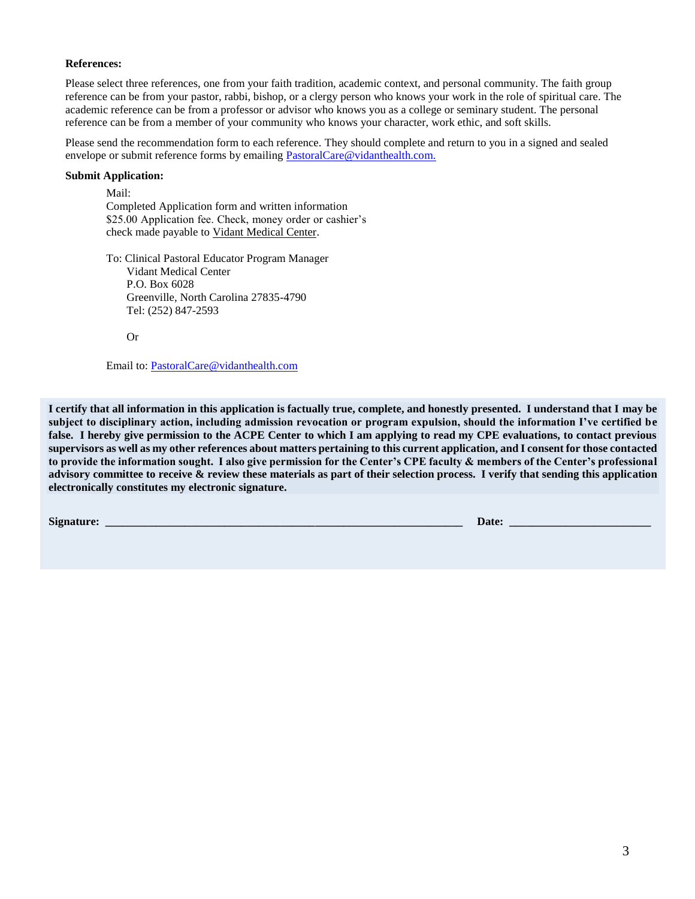## **References:**

Please select three references, one from your faith tradition, academic context, and personal community. The faith group reference can be from your pastor, rabbi, bishop, or a clergy person who knows your work in the role of spiritual care. The academic reference can be from a professor or advisor who knows you as a college or seminary student. The personal reference can be from a member of your community who knows your character, work ethic, and soft skills.

Please send the recommendation form to each reference. They should complete and return to you in a signed and sealed envelope or submit reference forms by emailing [PastoralCare@vidanthealth.com.](mailto:PastoralCare@vidanthealth.com)

## **Submit Application:**

Mail: Completed Application form and written information \$25.00 Application fee. Check, money order or cashier's check made payable to Vidant Medical Center.

To: Clinical Pastoral Educator Program Manager Vidant Medical Center P.O. Box 6028 Greenville, North Carolina 27835-4790 Tel: (252) 847-2593

Or

Email to: [PastoralCare@vidanthealth.com](mailto:PastoralCare@vidanthealth.com)

**I certify that all information in this application is factually true, complete, and honestly presented. I understand that I may be subject to disciplinary action, including admission revocation or program expulsion, should the information I've certified be false. I hereby give permission to the ACPE Center to which I am applying to read my CPE evaluations, to contact previous supervisors as well as my other references about matters pertaining to this current application, and I consent for those contacted to provide the information sought. I also give permission for the Center's CPE faculty & members of the Center's professional advisory committee to receive & review these materials as part of their selection process. I verify that sending this application electronically constitutes my electronic signature.** 

**Signature: \_\_\_\_\_\_\_\_\_\_\_\_\_\_\_\_\_\_\_\_\_\_\_\_\_\_\_\_\_\_\_\_\_\_\_\_\_\_\_\_\_\_\_\_\_\_\_\_\_\_\_\_\_\_\_\_\_\_\_\_\_\_\_ Date: \_\_\_\_\_\_\_\_\_\_\_\_\_\_\_\_\_\_\_\_\_\_\_\_\_**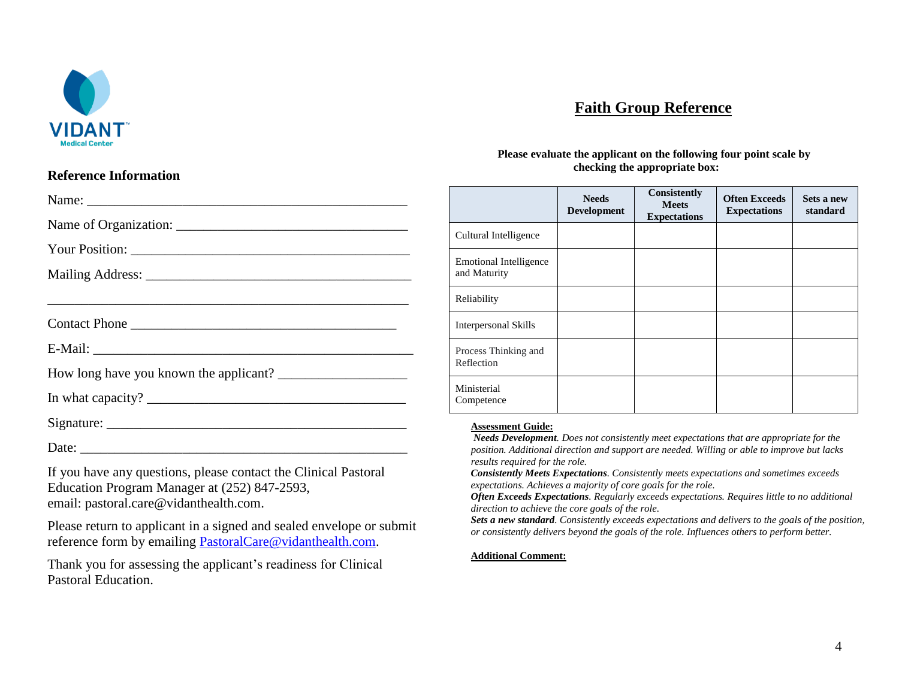

# **Faith Group Reference**

**Please evaluate the applicant on the following four point scale by checking the appropriate box:**

## **Reference Information**

| Name:                                                                          |                                                                                                                                                                                                                          | <b>Needs</b><br><b>Development</b> | <b>Consistently</b><br><b>Meets</b><br><b>Expectations</b> | <b>Often Exceeds</b><br><b>Expectations</b> | Sets a new<br>standard |
|--------------------------------------------------------------------------------|--------------------------------------------------------------------------------------------------------------------------------------------------------------------------------------------------------------------------|------------------------------------|------------------------------------------------------------|---------------------------------------------|------------------------|
|                                                                                | Cultural Intelligence                                                                                                                                                                                                    |                                    |                                                            |                                             |                        |
|                                                                                |                                                                                                                                                                                                                          |                                    |                                                            |                                             |                        |
|                                                                                | <b>Emotional Intelligence</b><br>and Maturity                                                                                                                                                                            |                                    |                                                            |                                             |                        |
|                                                                                | Reliability                                                                                                                                                                                                              |                                    |                                                            |                                             |                        |
| Contact Phone                                                                  | Interpersonal Skills                                                                                                                                                                                                     |                                    |                                                            |                                             |                        |
|                                                                                | Process Thinking and                                                                                                                                                                                                     |                                    |                                                            |                                             |                        |
| How long have you known the applicant?                                         | Reflection                                                                                                                                                                                                               |                                    |                                                            |                                             |                        |
| In what capacity? $\frac{1}{\sqrt{1-\frac{1}{2}}}\left\{ \frac{1}{2} \right\}$ | Ministerial<br>Competence                                                                                                                                                                                                |                                    |                                                            |                                             |                        |
|                                                                                | <b>Assessment Guide:</b>                                                                                                                                                                                                 |                                    |                                                            |                                             |                        |
| 그 아이는 그 사람들은 아이들에게 아이들을 지르는 것을 하고 있다. 그 사람들은 아이들은 아이들에게 아이들에게 아이들을 하고 있다.      | Needs Development. Does not consistently meet expectations that are appropriate for the<br>position. Additional direction and support are needed. Willing or able to improve but lacks<br>results required for the role. |                                    |                                                            |                                             |                        |

If you have any questions, please contact the Clinical Pastoral Education Program Manager at (252) 847-2593, email: pastoral.care@vidanthealth.com.

Please return to applicant in a signed and sealed envelope or submit reference form by emailing [PastoralCare@vidanthealth.com.](mailto:PastoralCare@vidanthealth.com)

Thank you for assessing the applicant's readiness for Clinical Pastoral Education.

*Consistently Meets Expectations. Consistently meets expectations and sometimes exceeds expectations. Achieves a majority of core goals for the role.*

*Often Exceeds Expectations. Regularly exceeds expectations. Requires little to no additional direction to achieve the core goals of the role.* 

*Sets a new standard. Consistently exceeds expectations and delivers to the goals of the position, or consistently delivers beyond the goals of the role. Influences others to perform better.*

#### **Additional Comment:**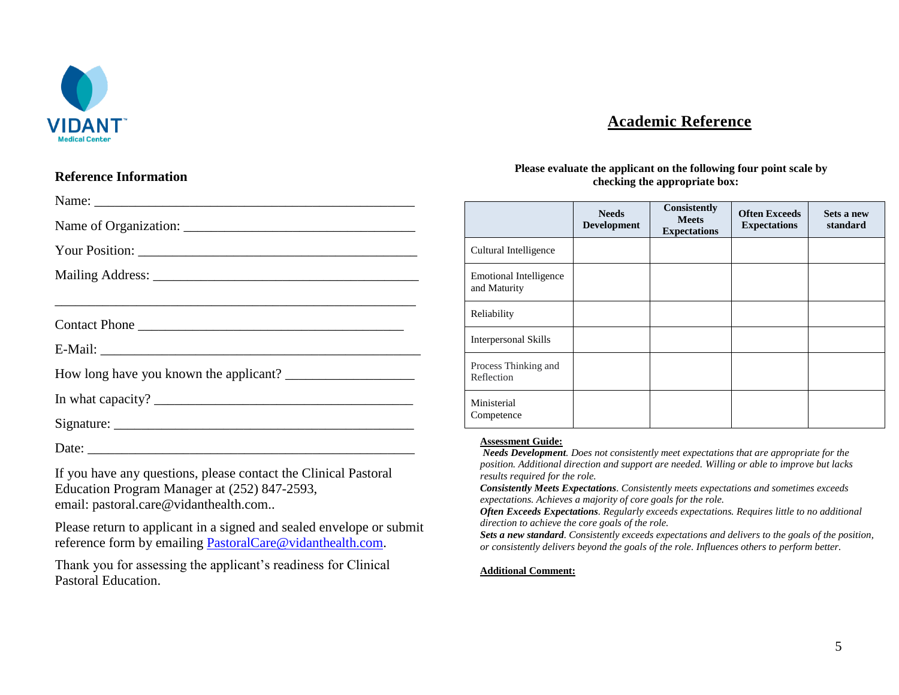

# **Academic Reference**

## **Reference Information**

If you have any questions, please contact the Clinical Pastoral Education Program Manager at (252) 847-2593, email: pastoral.care@vidanthealth.com..

Please return to applicant in a signed and sealed envelope or submit reference form by emailing [PastoralCare@vidanthealth.com.](mailto:PastoralCare@vidanthealth.com)

Thank you for assessing the applicant's readiness for Clinical Pastoral Education.

## **Please evaluate the applicant on the following four point scale by checking the appropriate box:**

|                                               | <b>Needs</b><br><b>Development</b> | <b>Consistently</b><br><b>Meets</b><br><b>Expectations</b> | <b>Often Exceeds</b><br><b>Expectations</b> | Sets a new<br>standard |
|-----------------------------------------------|------------------------------------|------------------------------------------------------------|---------------------------------------------|------------------------|
| Cultural Intelligence                         |                                    |                                                            |                                             |                        |
| <b>Emotional Intelligence</b><br>and Maturity |                                    |                                                            |                                             |                        |
| Reliability                                   |                                    |                                                            |                                             |                        |
| <b>Interpersonal Skills</b>                   |                                    |                                                            |                                             |                        |
| Process Thinking and<br>Reflection            |                                    |                                                            |                                             |                        |
| Ministerial<br>Competence                     |                                    |                                                            |                                             |                        |

## **Assessment Guide:**

*Needs Development. Does not consistently meet expectations that are appropriate for the position. Additional direction and support are needed. Willing or able to improve but lacks results required for the role.*

*Consistently Meets Expectations. Consistently meets expectations and sometimes exceeds expectations. Achieves a majority of core goals for the role.*

*Often Exceeds Expectations. Regularly exceeds expectations. Requires little to no additional direction to achieve the core goals of the role.* 

*Sets a new standard. Consistently exceeds expectations and delivers to the goals of the position, or consistently delivers beyond the goals of the role. Influences others to perform better.*

## **Additional Comment:**